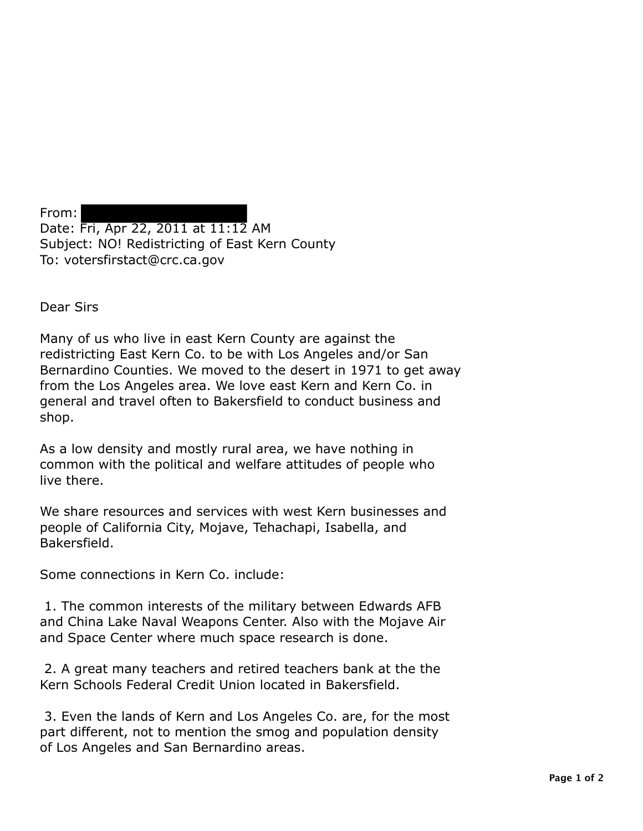From: Date: Fri, Apr 22, 2011 at 11:12 AM Subject: NO! Redistricting of East Kern County To: votersfirstact@crc.ca.gov

Dear Sirs

Many of us who live in east Kern County are against the redistricting East Kern Co. to be with Los Angeles and/or San Bernardino Counties. We moved to the desert in 1971 to get away from the Los Angeles area. We love east Kern and Kern Co. in general and travel often to Bakersfield to conduct business and shop.

As a low density and mostly rural area, we have nothing in common with the political and welfare attitudes of people who live there.

We share resources and services with west Kern businesses and people of California City, Mojave, Tehachapi, Isabella, and Bakersfield.

Some connections in Kern Co. include:

1. The common interests of the military between Edwards AFB and China Lake Naval Weapons Center. Also with the Mojave Air and Space Center where much space research is done.

2. A great many teachers and retired teachers bank at the the Kern Schools Federal Credit Union located in Bakersfield.

3. Even the lands of Kern and Los Angeles Co. are, for the most part different, not to mention the smog and population density of Los Angeles and San Bernardino areas.